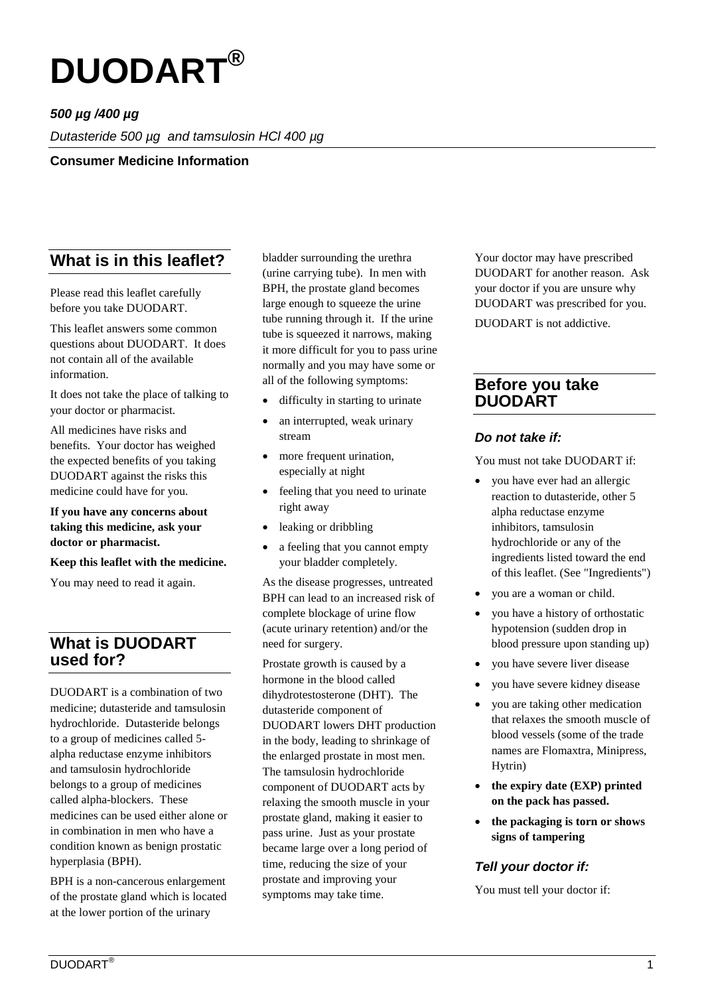

## *500 µg /400 µg*

*Dutasteride 500 µg and tamsulosin HCl 400 µg*

#### **Consumer Medicine Information**

# **What is in this leaflet?**

Please read this leaflet carefully before you take DUODART.

This leaflet answers some common questions about DUODART. It does not contain all of the available information.

It does not take the place of talking to your doctor or pharmacist.

All medicines have risks and benefits. Your doctor has weighed the expected benefits of you taking DUODART against the risks this medicine could have for you.

#### **If you have any concerns about taking this medicine, ask your doctor or pharmacist.**

#### **Keep this leaflet with the medicine.**

You may need to read it again.

# **What is DUODART used for?**

DUODART is a combination of two medicine; dutasteride and tamsulosin hydrochloride. Dutasteride belongs to a group of medicines called 5 alpha reductase enzyme inhibitors and tamsulosin hydrochloride belongs to a group of medicines called alpha-blockers. These medicines can be used either alone or in combination in men who have a condition known as benign prostatic hyperplasia (BPH).

BPH is a non-cancerous enlargement of the prostate gland which is located at the lower portion of the urinary

bladder surrounding the urethra (urine carrying tube). In men with BPH, the prostate gland becomes large enough to squeeze the urine tube running through it. If the urine tube is squeezed it narrows, making it more difficult for you to pass urine normally and you may have some or all of the following symptoms:

- difficulty in starting to urinate
- an interrupted, weak urinary stream
- more frequent urination, especially at night
- feeling that you need to urinate right away
- leaking or dribbling
- a feeling that you cannot empty your bladder completely.

As the disease progresses, untreated BPH can lead to an increased risk of complete blockage of urine flow (acute urinary retention) and/or the need for surgery.

Prostate growth is caused by a hormone in the blood called dihydrotestosterone (DHT). The dutasteride component of DUODART lowers DHT production in the body, leading to shrinkage of the enlarged prostate in most men. The tamsulosin hydrochloride component of DUODART acts by relaxing the smooth muscle in your prostate gland, making it easier to pass urine. Just as your prostate became large over a long period of time, reducing the size of your prostate and improving your symptoms may take time.

Your doctor may have prescribed DUODART for another reason. Ask your doctor if you are unsure why DUODART was prescribed for you.

DUODART is not addictive.

### **Before you take DUODART**

#### *Do not take if:*

You must not take DUODART if:

- you have ever had an allergic reaction to dutasteride, other 5 alpha reductase enzyme inhibitors, tamsulosin hydrochloride or any of the ingredients listed toward the end of this leaflet. (See "Ingredients")
- you are a woman or child.
- you have a history of orthostatic hypotension (sudden drop in blood pressure upon standing up)
- you have severe liver disease
- you have severe kidney disease
- you are taking other medication that relaxes the smooth muscle of blood vessels (some of the trade names are Flomaxtra, Minipress, Hytrin)
- **the expiry date (EXP) printed on the pack has passed.**
- **the packaging is torn or shows signs of tampering**

### *Tell your doctor if:*

You must tell your doctor if: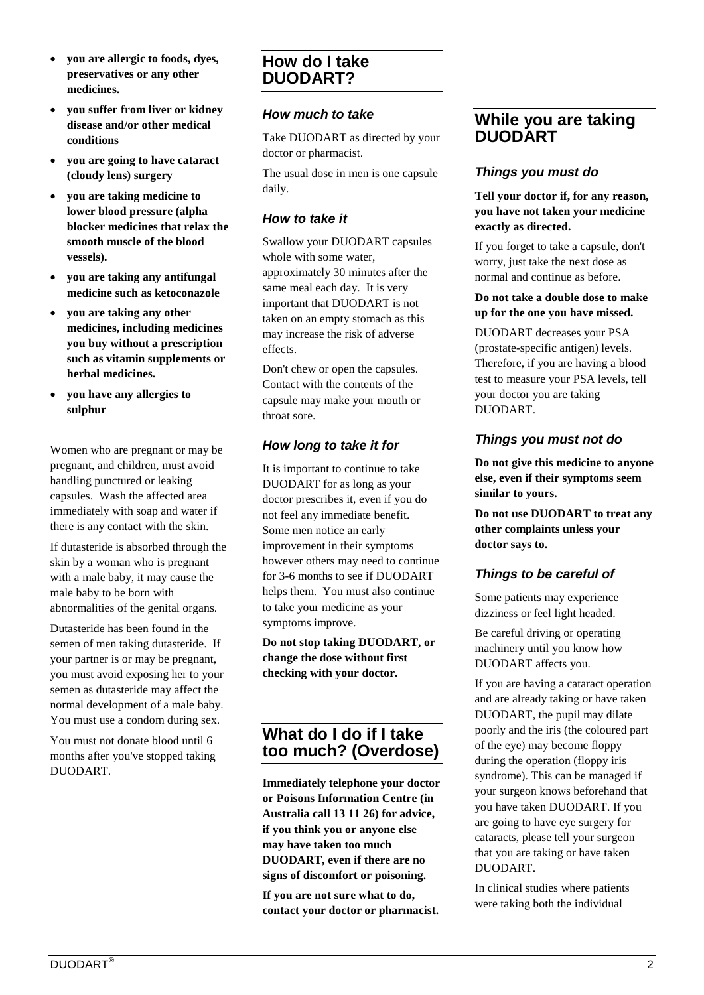- **you are allergic to foods, dyes, preservatives or any other medicines.**
- **you suffer from liver or kidney disease and/or other medical conditions**
- **you are going to have cataract (cloudy lens) surgery**
- **you are taking medicine to lower blood pressure (alpha blocker medicines that relax the smooth muscle of the blood vessels).**
- **you are taking any antifungal medicine such as ketoconazole**
- **you are taking any other medicines, including medicines you buy without a prescription such as vitamin supplements or herbal medicines.**
- **you have any allergies to sulphur**

Women who are pregnant or may be pregnant, and children, must avoid handling punctured or leaking capsules. Wash the affected area immediately with soap and water if there is any contact with the skin.

If dutasteride is absorbed through the skin by a woman who is pregnant with a male baby, it may cause the male baby to be born with abnormalities of the genital organs.

Dutasteride has been found in the semen of men taking dutasteride. If your partner is or may be pregnant, you must avoid exposing her to your semen as dutasteride may affect the normal development of a male baby. You must use a condom during sex.

You must not donate blood until 6 months after you've stopped taking DUODART.

# **How do I take DUODART?**

### *How much to take*

Take DUODART as directed by your doctor or pharmacist.

The usual dose in men is one capsule daily.

### *How to take it*

Swallow your DUODART capsules whole with some water, approximately 30 minutes after the same meal each day. It is very important that DUODART is not taken on an empty stomach as this may increase the risk of adverse effects.

Don't chew or open the capsules. Contact with the contents of the capsule may make your mouth or throat sore.

## *How long to take it for*

It is important to continue to take DUODART for as long as your doctor prescribes it, even if you do not feel any immediate benefit. Some men notice an early improvement in their symptoms however others may need to continue for 3-6 months to see if DUODART helps them. You must also continue to take your medicine as your symptoms improve.

**Do not stop taking DUODART, or change the dose without first checking with your doctor.**

# **What do I do if I take too much? (Overdose)**

**Immediately telephone your doctor or Poisons Information Centre (in Australia call 13 11 26) for advice, if you think you or anyone else may have taken too much DUODART, even if there are no signs of discomfort or poisoning.**

**If you are not sure what to do, contact your doctor or pharmacist.**

# **While you are taking DUODART**

## *Things you must do*

#### **Tell your doctor if, for any reason, you have not taken your medicine exactly as directed.**

If you forget to take a capsule, don't worry, just take the next dose as normal and continue as before.

#### **Do not take a double dose to make up for the one you have missed.**

DUODART decreases your PSA (prostate-specific antigen) levels. Therefore, if you are having a blood test to measure your PSA levels, tell your doctor you are taking DUODART.

## *Things you must not do*

**Do not give this medicine to anyone else, even if their symptoms seem similar to yours.**

**Do not use DUODART to treat any other complaints unless your doctor says to.**

# *Things to be careful of*

Some patients may experience dizziness or feel light headed.

Be careful driving or operating machinery until you know how DUODART affects you.

If you are having a cataract operation and are already taking or have taken DUODART, the pupil may dilate poorly and the iris (the coloured part of the eye) may become floppy during the operation (floppy iris syndrome). This can be managed if your surgeon knows beforehand that you have taken DUODART. If you are going to have eye surgery for cataracts, please tell your surgeon that you are taking or have taken DUODART.

In clinical studies where patients were taking both the individual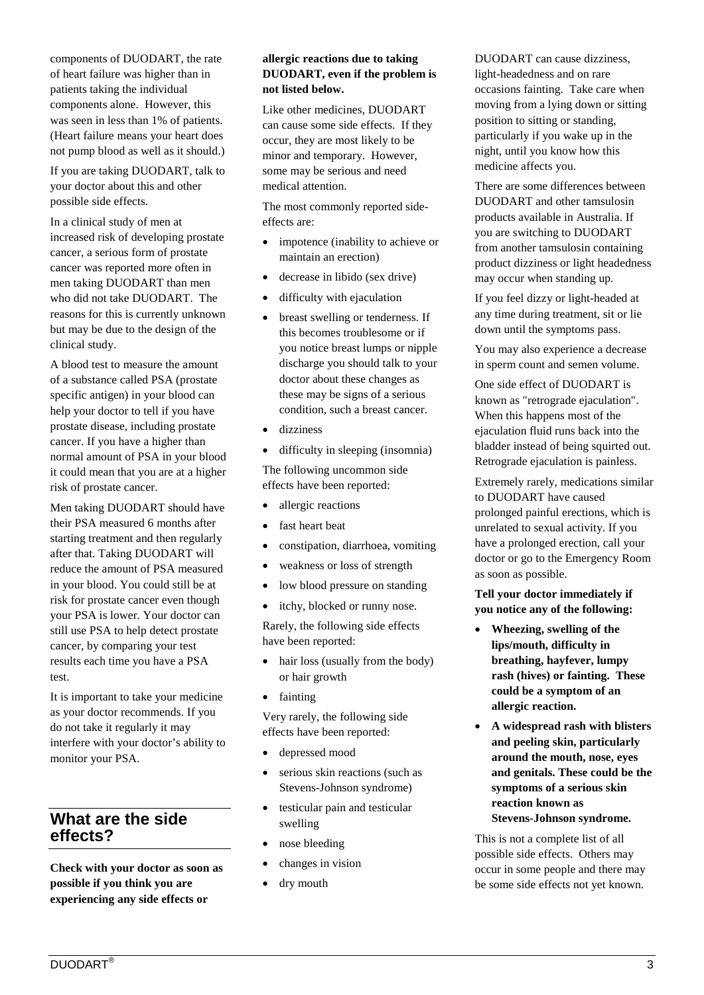components of DUODART, the rate of heart failure was higher than in patients taking the individual components alone. However, this was seen in less than 1% of patients. (Heart failure means your heart does not pump blood as well as it should.)

If you are taking DUODART, talk to your doctor about this and other possible side effects.

In a clinical study of men at increased risk of developing prostate cancer, a serious form of prostate cancer was reported more often in men taking DUODART than men who did not take DUODART. The reasons for this is currently unknown but may be due to the design of the clinical study.

A blood test to measure the amount of a substance called PSA (prostate specific antigen) in your blood can help your doctor to tell if you have prostate disease, including prostate cancer. If you have a higher than normal amount of PSA in your blood it could mean that you are at a higher risk of prostate cancer.

Men taking DUODART should have their PSA measured 6 months after starting treatment and then regularly after that. Taking DUODART will reduce the amount of PSA measured in your blood. You could still be at risk for prostate cancer even though your PSA is lower. Your doctor can still use PSA to help detect prostate cancer, by comparing your test results each time you have a PSA test.

It is important to take your medicine as your doctor recommends. If you do not take it regularly it may interfere with your doctor's ability to monitor your PSA.

# **What are the side effects?**

**Check with your doctor as soon as possible if you think you are experiencing any side effects or** 

#### **allergic reactions due to taking DUODART, even if the problem is not listed below.**

Like other medicines, DUODART can cause some side effects. If they occur, they are most likely to be minor and temporary. However, some may be serious and need medical attention.

The most commonly reported sideeffects are:

- impotence (inability to achieve or maintain an erection)
- decrease in libido (sex drive)
- difficulty with ejaculation
- breast swelling or tenderness. If this becomes troublesome or if you notice breast lumps or nipple discharge you should talk to your doctor about these changes as these may be signs of a serious condition, such a breast cancer.
- dizziness
- difficulty in sleeping (insomnia)

The following uncommon side effects have been reported:

- allergic reactions
- fast heart beat
- constipation, diarrhoea, vomiting
- weakness or loss of strength
- low blood pressure on standing
- itchy, blocked or runny nose.

Rarely, the following side effects have been reported:

- hair loss (usually from the body) or hair growth
- fainting

Very rarely, the following side effects have been reported:

- depressed mood
- serious skin reactions (such as Stevens-Johnson syndrome)
- testicular pain and testicular swelling
- nose bleeding
- changes in vision
- dry mouth

DUODART can cause dizziness, light-headedness and on rare occasions fainting. Take care when moving from a lying down or sitting position to sitting or standing, particularly if you wake up in the night, until you know how this medicine affects you.

There are some differences between DUODART and other tamsulosin products available in Australia. If you are switching to DUODART from another tamsulosin containing product dizziness or light headedness may occur when standing up.

If you feel dizzy or light-headed at any time during treatment, sit or lie down until the symptoms pass.

You may also experience a decrease in sperm count and semen volume.

One side effect of DUODART is known as "retrograde ejaculation". When this happens most of the ejaculation fluid runs back into the bladder instead of being squirted out. Retrograde ejaculation is painless.

Extremely rarely, medications similar to DUODART have caused prolonged painful erections, which is unrelated to sexual activity. If you have a prolonged erection, call your doctor or go to the Emergency Room as soon as possible.

#### **Tell your doctor immediately if you notice any of the following:**

- **Wheezing, swelling of the lips/mouth, difficulty in breathing, hayfever, lumpy rash (hives) or fainting. These could be a symptom of an allergic reaction.**
- **A widespread rash with blisters and peeling skin, particularly around the mouth, nose, eyes and genitals. These could be the symptoms of a serious skin reaction known as Stevens-Johnson syndrome.**

This is not a complete list of all possible side effects. Others may occur in some people and there may be some side effects not yet known.